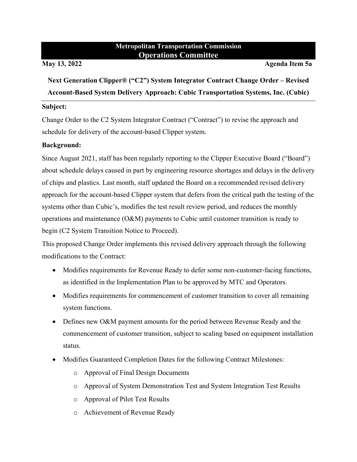# **Metropolitan Transportation Commission Operations Committee**

**May 13, 2022 Agenda Item 5a** 

**Next Generation Clipper® ("C2") System Integrator Contract Change Order – Revised Account-Based System Delivery Approach: Cubic Transportation Systems, Inc. (Cubic)** 

## **Subject:**

Change Order to the C2 System Integrator Contract ("Contract") to revise the approach and schedule for delivery of the account-based Clipper system.

# **Background:**

Since August 2021, staff has been regularly reporting to the Clipper Executive Board ("Board") about schedule delays caused in part by engineering resource shortages and delays in the delivery of chips and plastics. Last month, staff updated the Board on a recommended revised delivery approach for the account-based Clipper system that defers from the critical path the testing of the systems other than Cubic's, modifies the test result review period, and reduces the monthly operations and maintenance (O&M) payments to Cubic until customer transition is ready to begin (C2 System Transition Notice to Proceed).

This proposed Change Order implements this revised delivery approach through the following modifications to the Contract:

- Modifies requirements for Revenue Ready to defer some non-customer-facing functions, as identified in the Implementation Plan to be approved by MTC and Operators.
- Modifies requirements for commencement of customer transition to cover all remaining system functions.
- Defines new O&M payment amounts for the period between Revenue Ready and the commencement of customer transition, subject to scaling based on equipment installation status.
- Modifies Guaranteed Completion Dates for the following Contract Milestones:
	- o Approval of Final Design Documents
	- o Approval of System Demonstration Test and System Integration Test Results
	- o Approval of Pilot Test Results
	- o Achievement of Revenue Ready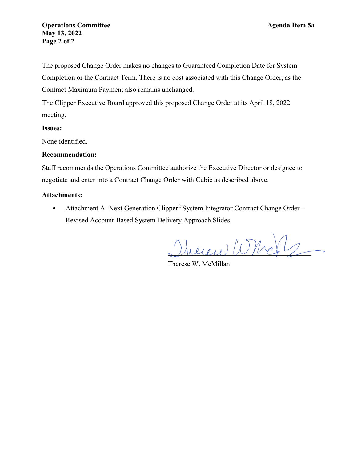## **Operations Committee Agenda Item 5a May 13, 2022 Page 2 of 2**

The proposed Change Order makes no changes to Guaranteed Completion Date for System Completion or the Contract Term. There is no cost associated with this Change Order, as the Contract Maximum Payment also remains unchanged.

The Clipper Executive Board approved this proposed Change Order at its April 18, 2022 meeting.

#### **Issues:**

None identified.

#### **Recommendation:**

Staff recommends the Operations Committee authorize the Executive Director or designee to negotiate and enter into a Contract Change Order with Cubic as described above.

#### **Attachments:**

• Attachment A: Next Generation Clipper<sup>®</sup> System Integrator Contract Change Order – Revised Account-Based System Delivery Approach Slides

 $euev\circ\psi\circ\psi\circ\psi\circ\psi\circ\psi$ 

Therese W. McMillan